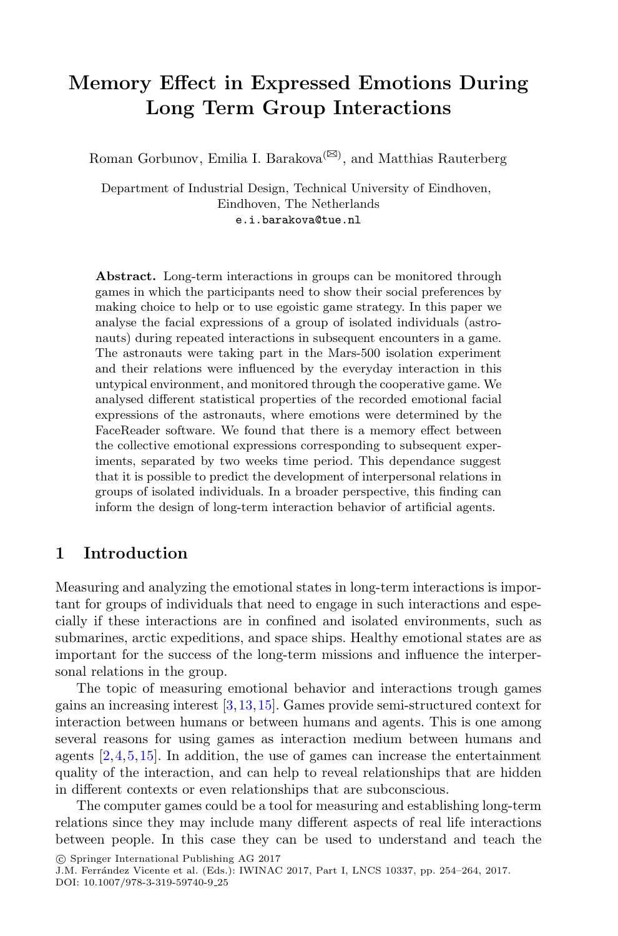# **Memory Effect in Expressed Emotions During Long Term Group Interactions**

Roman Gorbunov, Emilia I. Barakova<sup>( $\boxtimes$ )</sup>, and Matthias Rauterberg

Department of Industrial Design, Technical University of Eindhoven, Eindhoven, The Netherlands e.i.barakova@tue.nl

**Abstract.** Long-term interactions in groups can be monitored through games in which the participants need to show their social preferences by making choice to help or to use egoistic game strategy. In this paper we analyse the facial expressions of a group of isolated individuals (astronauts) during repeated interactions in subsequent encounters in a game. The astronauts were taking part in the Mars-500 isolation experiment and their relations were influenced by the everyday interaction in this untypical environment, and monitored through the cooperative game. We analysed different statistical properties of the recorded emotional facial expressions of the astronauts, where emotions were determined by the FaceReader software. We found that there is a memory effect between the collective emotional expressions corresponding to subsequent experiments, separated by two weeks time period. This dependance suggest that it is possible to predict the development of interpersonal relations in groups of isolated individuals. In a broader perspective, this finding can inform the design of long-term interaction behavior of artificial agents.

## **1 Introduction**

Measuring and analyzing the emotional states in long-term interactions is important for groups of individuals that need to engage in such interactions and especially if these interactions are in confined and isolated environments, such as submarines, arctic expeditions, and space ships. Healthy emotional states are as important for the success of the long-term missions and influence the interpersonal relations in the group.

The topic of measuring emotional behavior and interactions trough games gains an increasing interest [\[3,](#page-9-0)[13](#page-9-1)[,15](#page-9-2)]. Games provide semi-structured context for interaction between humans or between humans and agents. This is one among several reasons for using games as interaction medium between humans and agents [\[2](#page-9-3),[4,](#page-9-4)[5](#page-9-5)[,15](#page-9-2)]. In addition, the use of games can increase the entertainment quality of the interaction, and can help to reveal relationships that are hidden in different contexts or even relationships that are subconscious.

The computer games could be a tool for measuring and establishing long-term relations since they may include many different aspects of real life interactions between people. In this case they can be used to understand and teach the

-c Springer International Publishing AG 2017

J.M. Ferr´andez Vicente et al. (Eds.): IWINAC 2017, Part I, LNCS 10337, pp. 254–264, 2017. DOI: 10.1007/978-3-319-59740-9 25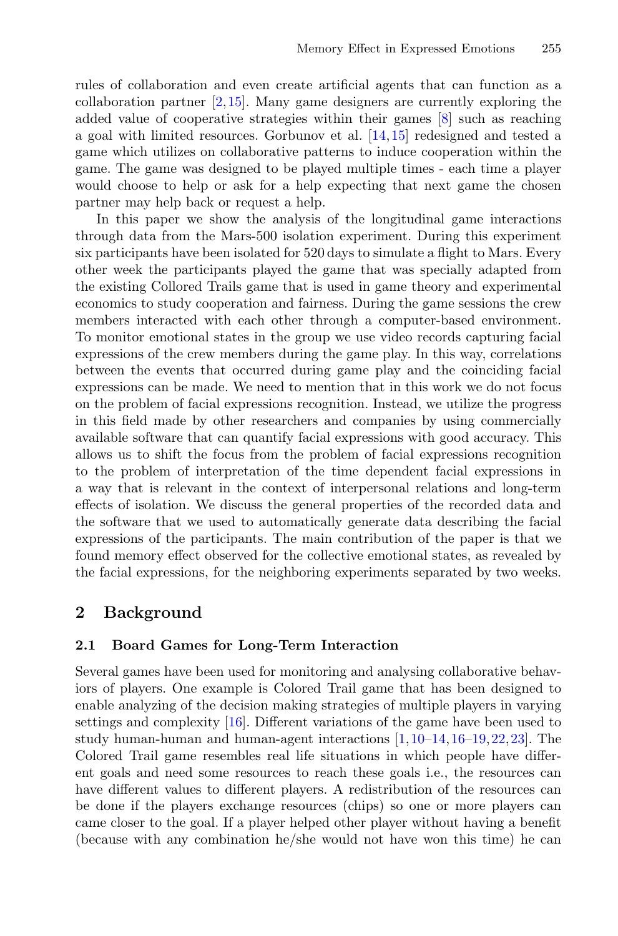rules of collaboration and even create artificial agents that can function as a collaboration partner  $[2,15]$  $[2,15]$  $[2,15]$ . Many game designers are currently exploring the added value of cooperative strategies within their games [\[8\]](#page-9-6) such as reaching a goal with limited resources. Gorbunov et al. [\[14,](#page-9-7)[15](#page-9-2)] redesigned and tested a game which utilizes on collaborative patterns to induce cooperation within the game. The game was designed to be played multiple times - each time a player would choose to help or ask for a help expecting that next game the chosen partner may help back or request a help.

In this paper we show the analysis of the longitudinal game interactions through data from the Mars-500 isolation experiment. During this experiment six participants have been isolated for 520 days to simulate a flight to Mars. Every other week the participants played the game that was specially adapted from the existing Collored Trails game that is used in game theory and experimental economics to study cooperation and fairness. During the game sessions the crew members interacted with each other through a computer-based environment. To monitor emotional states in the group we use video records capturing facial expressions of the crew members during the game play. In this way, correlations between the events that occurred during game play and the coinciding facial expressions can be made. We need to mention that in this work we do not focus on the problem of facial expressions recognition. Instead, we utilize the progress in this field made by other researchers and companies by using commercially available software that can quantify facial expressions with good accuracy. This allows us to shift the focus from the problem of facial expressions recognition to the problem of interpretation of the time dependent facial expressions in a way that is relevant in the context of interpersonal relations and long-term effects of isolation. We discuss the general properties of the recorded data and the software that we used to automatically generate data describing the facial expressions of the participants. The main contribution of the paper is that we found memory effect observed for the collective emotional states, as revealed by the facial expressions, for the neighboring experiments separated by two weeks.

## **2 Background**

#### **2.1 Board Games for Long-Term Interaction**

Several games have been used for monitoring and analysing collaborative behaviors of players. One example is Colored Trail game that has been designed to enable analyzing of the decision making strategies of multiple players in varying settings and complexity [\[16](#page-9-8)]. Different variations of the game have been used to study human-human and human-agent interactions [\[1](#page-8-0)[,10](#page-9-9)[–14](#page-9-7),[16](#page-9-8)[–19,](#page-9-10)[22,](#page-10-0)[23](#page-10-1)]. The Colored Trail game resembles real life situations in which people have different goals and need some resources to reach these goals i.e., the resources can have different values to different players. A redistribution of the resources can be done if the players exchange resources (chips) so one or more players can came closer to the goal. If a player helped other player without having a benefit (because with any combination he/she would not have won this time) he can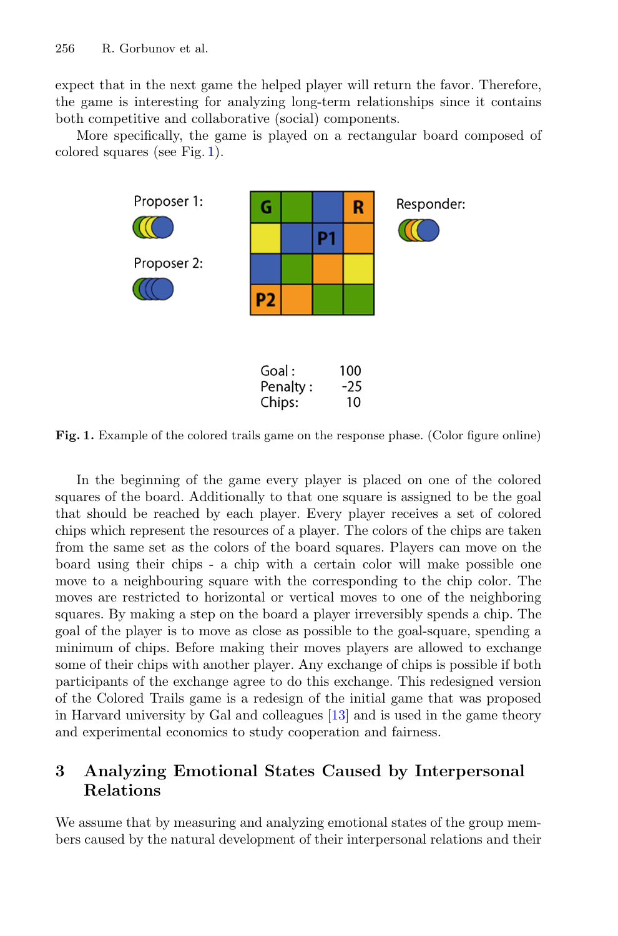expect that in the next game the helped player will return the favor. Therefore, the game is interesting for analyzing long-term relationships since it contains both competitive and collaborative (social) components.

More specifically, the game is played on a rectangular board composed of colored squares (see Fig. [1\)](#page-2-0).



<span id="page-2-0"></span>**Fig. 1.** Example of the colored trails game on the response phase. (Color figure online)

In the beginning of the game every player is placed on one of the colored squares of the board. Additionally to that one square is assigned to be the goal that should be reached by each player. Every player receives a set of colored chips which represent the resources of a player. The colors of the chips are taken from the same set as the colors of the board squares. Players can move on the board using their chips - a chip with a certain color will make possible one move to a neighbouring square with the corresponding to the chip color. The moves are restricted to horizontal or vertical moves to one of the neighboring squares. By making a step on the board a player irreversibly spends a chip. The goal of the player is to move as close as possible to the goal-square, spending a minimum of chips. Before making their moves players are allowed to exchange some of their chips with another player. Any exchange of chips is possible if both participants of the exchange agree to do this exchange. This redesigned version of the Colored Trails game is a redesign of the initial game that was proposed in Harvard university by Gal and colleagues [\[13\]](#page-9-1) and is used in the game theory and experimental economics to study cooperation and fairness.

## **3 Analyzing Emotional States Caused by Interpersonal Relations**

We assume that by measuring and analyzing emotional states of the group members caused by the natural development of their interpersonal relations and their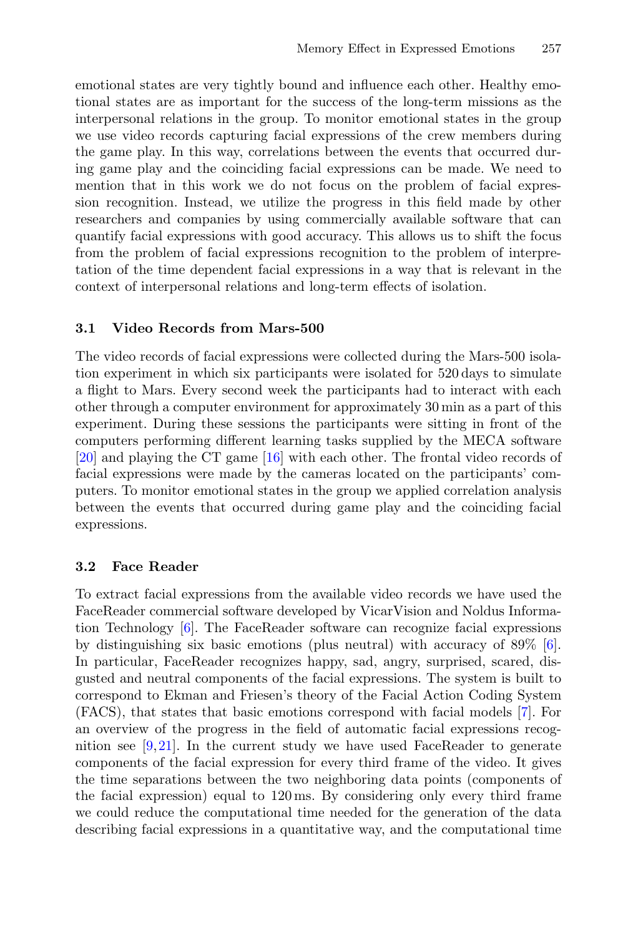emotional states are very tightly bound and influence each other. Healthy emotional states are as important for the success of the long-term missions as the interpersonal relations in the group. To monitor emotional states in the group we use video records capturing facial expressions of the crew members during the game play. In this way, correlations between the events that occurred during game play and the coinciding facial expressions can be made. We need to mention that in this work we do not focus on the problem of facial expression recognition. Instead, we utilize the progress in this field made by other researchers and companies by using commercially available software that can quantify facial expressions with good accuracy. This allows us to shift the focus from the problem of facial expressions recognition to the problem of interpretation of the time dependent facial expressions in a way that is relevant in the context of interpersonal relations and long-term effects of isolation.

## **3.1 Video Records from Mars-500**

The video records of facial expressions were collected during the Mars-500 isolation experiment in which six participants were isolated for 520 days to simulate a flight to Mars. Every second week the participants had to interact with each other through a computer environment for approximately 30 min as a part of this experiment. During these sessions the participants were sitting in front of the computers performing different learning tasks supplied by the MECA software [\[20](#page-10-2)] and playing the CT game [\[16](#page-9-8)] with each other. The frontal video records of facial expressions were made by the cameras located on the participants' computers. To monitor emotional states in the group we applied correlation analysis between the events that occurred during game play and the coinciding facial expressions.

## **3.2 Face Reader**

To extract facial expressions from the available video records we have used the FaceReader commercial software developed by VicarVision and Noldus Information Technology [\[6\]](#page-9-11). The FaceReader software can recognize facial expressions by distinguishing six basic emotions (plus neutral) with accuracy of 89% [\[6\]](#page-9-11). In particular, FaceReader recognizes happy, sad, angry, surprised, scared, disgusted and neutral components of the facial expressions. The system is built to correspond to Ekman and Friesen's theory of the Facial Action Coding System (FACS), that states that basic emotions correspond with facial models [\[7\]](#page-9-12). For an overview of the progress in the field of automatic facial expressions recognition see  $[9,21]$  $[9,21]$ . In the current study we have used FaceReader to generate components of the facial expression for every third frame of the video. It gives the time separations between the two neighboring data points (components of the facial expression) equal to 120 ms. By considering only every third frame we could reduce the computational time needed for the generation of the data describing facial expressions in a quantitative way, and the computational time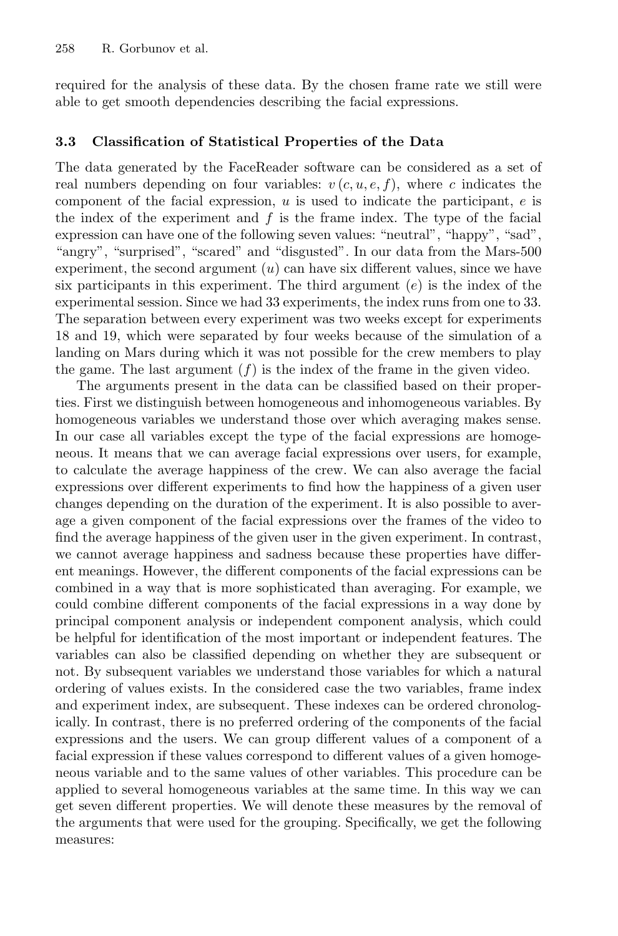required for the analysis of these data. By the chosen frame rate we still were able to get smooth dependencies describing the facial expressions.

#### **3.3 Classification of Statistical Properties of the Data**

The data generated by the FaceReader software can be considered as a set of real numbers depending on four variables:  $v(c, u, e, f)$ , where *c* indicates the component of the facial expression, *u* is used to indicate the participant, *e* is the index of the experiment and *f* is the frame index. The type of the facial expression can have one of the following seven values: "neutral", "happy", "sad", "angry", "surprised", "scared" and "disgusted". In our data from the Mars-500 experiment, the second argument  $(u)$  can have six different values, since we have six participants in this experiment. The third argument (*e*) is the index of the experimental session. Since we had 33 experiments, the index runs from one to 33. The separation between every experiment was two weeks except for experiments 18 and 19, which were separated by four weeks because of the simulation of a landing on Mars during which it was not possible for the crew members to play the game. The last argument  $(f)$  is the index of the frame in the given video.

The arguments present in the data can be classified based on their properties. First we distinguish between homogeneous and inhomogeneous variables. By homogeneous variables we understand those over which averaging makes sense. In our case all variables except the type of the facial expressions are homogeneous. It means that we can average facial expressions over users, for example, to calculate the average happiness of the crew. We can also average the facial expressions over different experiments to find how the happiness of a given user changes depending on the duration of the experiment. It is also possible to average a given component of the facial expressions over the frames of the video to find the average happiness of the given user in the given experiment. In contrast, we cannot average happiness and sadness because these properties have different meanings. However, the different components of the facial expressions can be combined in a way that is more sophisticated than averaging. For example, we could combine different components of the facial expressions in a way done by principal component analysis or independent component analysis, which could be helpful for identification of the most important or independent features. The variables can also be classified depending on whether they are subsequent or not. By subsequent variables we understand those variables for which a natural ordering of values exists. In the considered case the two variables, frame index and experiment index, are subsequent. These indexes can be ordered chronologically. In contrast, there is no preferred ordering of the components of the facial expressions and the users. We can group different values of a component of a facial expression if these values correspond to different values of a given homogeneous variable and to the same values of other variables. This procedure can be applied to several homogeneous variables at the same time. In this way we can get seven different properties. We will denote these measures by the removal of the arguments that were used for the grouping. Specifically, we get the following measures: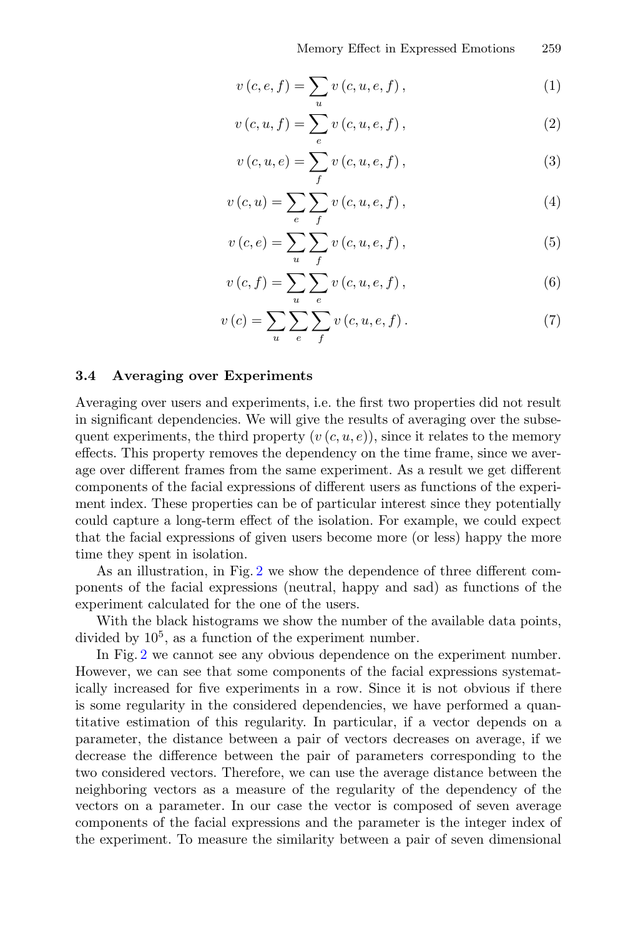$$
v(c, e, f) = \sum_{u} v(c, u, e, f),
$$
 (1)

$$
v(c, u, f) = \sum_{e} v(c, u, e, f), \qquad (2)
$$

$$
v(c, u, e) = \sum_{f} v(c, u, e, f), \qquad (3)
$$

$$
v(c, u) = \sum_{e} \sum_{f} v(c, u, e, f), \qquad (4)
$$

$$
v(c, e) = \sum_{u} \sum_{f} v(c, u, e, f), \qquad (5)
$$

$$
v(c, f) = \sum_{u} \sum_{e} v(c, u, e, f), \qquad (6)
$$

$$
v(c) = \sum_{u} \sum_{e} \sum_{f} v(c, u, e, f).
$$
 (7)

#### **3.4 Averaging over Experiments**

Averaging over users and experiments, i.e. the first two properties did not result in significant dependencies. We will give the results of averaging over the subsequent experiments, the third property  $(v(c, u, e))$ , since it relates to the memory effects. This property removes the dependency on the time frame, since we average over different frames from the same experiment. As a result we get different components of the facial expressions of different users as functions of the experiment index. These properties can be of particular interest since they potentially could capture a long-term effect of the isolation. For example, we could expect that the facial expressions of given users become more (or less) happy the more time they spent in isolation.

As an illustration, in Fig. [2](#page-6-0) we show the dependence of three different components of the facial expressions (neutral, happy and sad) as functions of the experiment calculated for the one of the users.

With the black histograms we show the number of the available data points, divided by  $10^5$ , as a function of the experiment number.

In Fig. [2](#page-6-0) we cannot see any obvious dependence on the experiment number. However, we can see that some components of the facial expressions systematically increased for five experiments in a row. Since it is not obvious if there is some regularity in the considered dependencies, we have performed a quantitative estimation of this regularity. In particular, if a vector depends on a parameter, the distance between a pair of vectors decreases on average, if we decrease the difference between the pair of parameters corresponding to the two considered vectors. Therefore, we can use the average distance between the neighboring vectors as a measure of the regularity of the dependency of the vectors on a parameter. In our case the vector is composed of seven average components of the facial expressions and the parameter is the integer index of the experiment. To measure the similarity between a pair of seven dimensional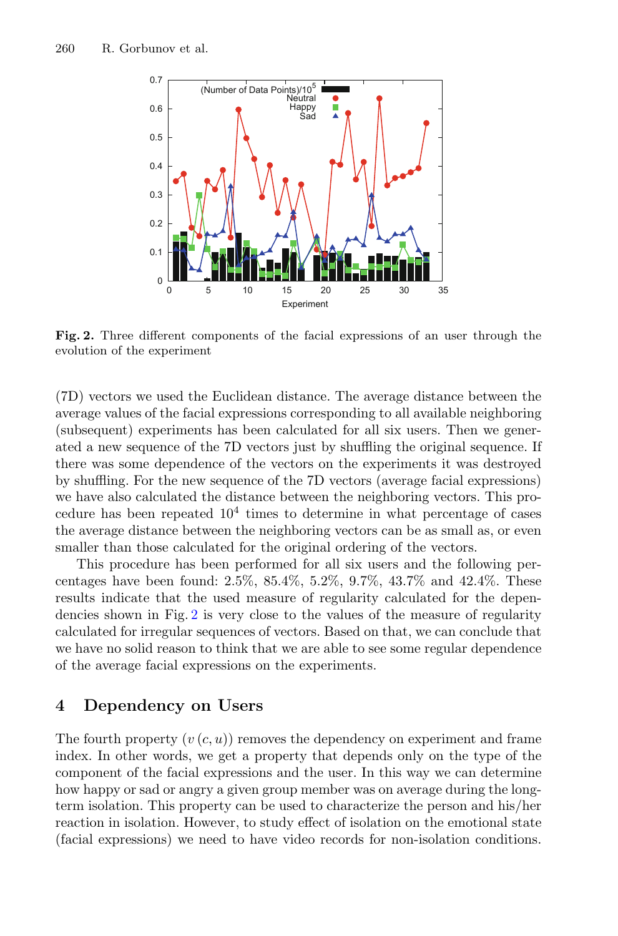

<span id="page-6-0"></span>**Fig. 2.** Three different components of the facial expressions of an user through the evolution of the experiment

(7D) vectors we used the Euclidean distance. The average distance between the average values of the facial expressions corresponding to all available neighboring (subsequent) experiments has been calculated for all six users. Then we generated a new sequence of the 7D vectors just by shuffling the original sequence. If there was some dependence of the vectors on the experiments it was destroyed by shuffling. For the new sequence of the 7D vectors (average facial expressions) we have also calculated the distance between the neighboring vectors. This procedure has been repeated  $10<sup>4</sup>$  times to determine in what percentage of cases the average distance between the neighboring vectors can be as small as, or even smaller than those calculated for the original ordering of the vectors.

This procedure has been performed for all six users and the following percentages have been found: 2.5%, 85.4%, 5.2%, 9.7%, 43.7% and 42.4%. These results indicate that the used measure of regularity calculated for the dependencies shown in Fig. [2](#page-6-0) is very close to the values of the measure of regularity calculated for irregular sequences of vectors. Based on that, we can conclude that we have no solid reason to think that we are able to see some regular dependence of the average facial expressions on the experiments.

## **4 Dependency on Users**

The fourth property  $(v(c, u))$  removes the dependency on experiment and frame index. In other words, we get a property that depends only on the type of the component of the facial expressions and the user. In this way we can determine how happy or sad or angry a given group member was on average during the longterm isolation. This property can be used to characterize the person and his/her reaction in isolation. However, to study effect of isolation on the emotional state (facial expressions) we need to have video records for non-isolation conditions.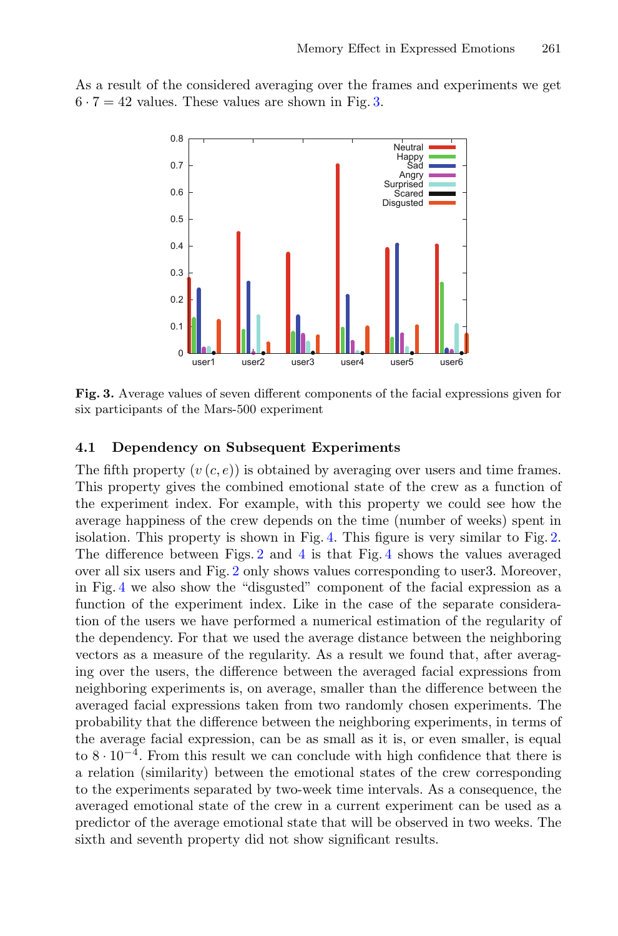As a result of the considered averaging over the frames and experiments we get  $6 \cdot 7 = 42$  values. These values are shown in Fig. [3.](#page-7-0)



<span id="page-7-0"></span>**Fig. 3.** Average values of seven different components of the facial expressions given for six participants of the Mars-500 experiment

#### **4.1 Dependency on Subsequent Experiments**

The fifth property  $(v(c, e))$  is obtained by averaging over users and time frames. This property gives the combined emotional state of the crew as a function of the experiment index. For example, with this property we could see how the average happiness of the crew depends on the time (number of weeks) spent in isolation. This property is shown in Fig. [4.](#page-8-1) This figure is very similar to Fig. [2.](#page-6-0) The difference between Figs. [2](#page-6-0) and [4](#page-8-1) is that Fig. [4](#page-8-1) shows the values averaged over all six users and Fig. [2](#page-6-0) only shows values corresponding to user3. Moreover, in Fig. [4](#page-8-1) we also show the "disgusted" component of the facial expression as a function of the experiment index. Like in the case of the separate consideration of the users we have performed a numerical estimation of the regularity of the dependency. For that we used the average distance between the neighboring vectors as a measure of the regularity. As a result we found that, after averaging over the users, the difference between the averaged facial expressions from neighboring experiments is, on average, smaller than the difference between the averaged facial expressions taken from two randomly chosen experiments. The probability that the difference between the neighboring experiments, in terms of the average facial expression, can be as small as it is, or even smaller, is equal to 8 *·* <sup>10</sup>−<sup>4</sup>. From this result we can conclude with high confidence that there is a relation (similarity) between the emotional states of the crew corresponding to the experiments separated by two-week time intervals. As a consequence, the averaged emotional state of the crew in a current experiment can be used as a predictor of the average emotional state that will be observed in two weeks. The sixth and seventh property did not show significant results.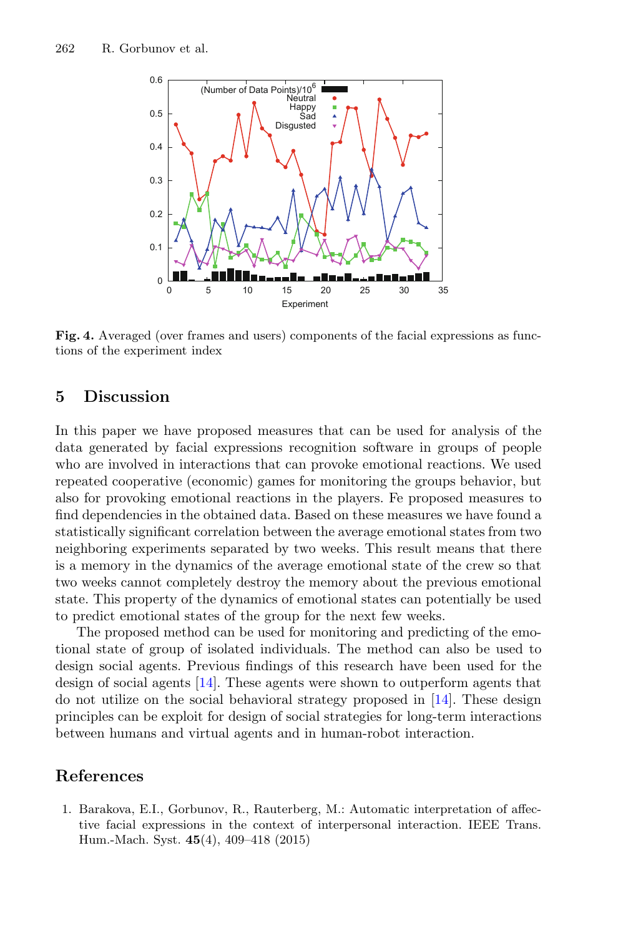

<span id="page-8-1"></span>**Fig. 4.** Averaged (over frames and users) components of the facial expressions as functions of the experiment index

## **5 Discussion**

In this paper we have proposed measures that can be used for analysis of the data generated by facial expressions recognition software in groups of people who are involved in interactions that can provoke emotional reactions. We used repeated cooperative (economic) games for monitoring the groups behavior, but also for provoking emotional reactions in the players. Fe proposed measures to find dependencies in the obtained data. Based on these measures we have found a statistically significant correlation between the average emotional states from two neighboring experiments separated by two weeks. This result means that there is a memory in the dynamics of the average emotional state of the crew so that two weeks cannot completely destroy the memory about the previous emotional state. This property of the dynamics of emotional states can potentially be used to predict emotional states of the group for the next few weeks.

The proposed method can be used for monitoring and predicting of the emotional state of group of isolated individuals. The method can also be used to design social agents. Previous findings of this research have been used for the design of social agents [\[14\]](#page-9-7). These agents were shown to outperform agents that do not utilize on the social behavioral strategy proposed in [\[14](#page-9-7)]. These design principles can be exploit for design of social strategies for long-term interactions between humans and virtual agents and in human-robot interaction.

## <span id="page-8-0"></span>**References**

1. Barakova, E.I., Gorbunov, R., Rauterberg, M.: Automatic interpretation of affective facial expressions in the context of interpersonal interaction. IEEE Trans. Hum.-Mach. Syst. **45**(4), 409–418 (2015)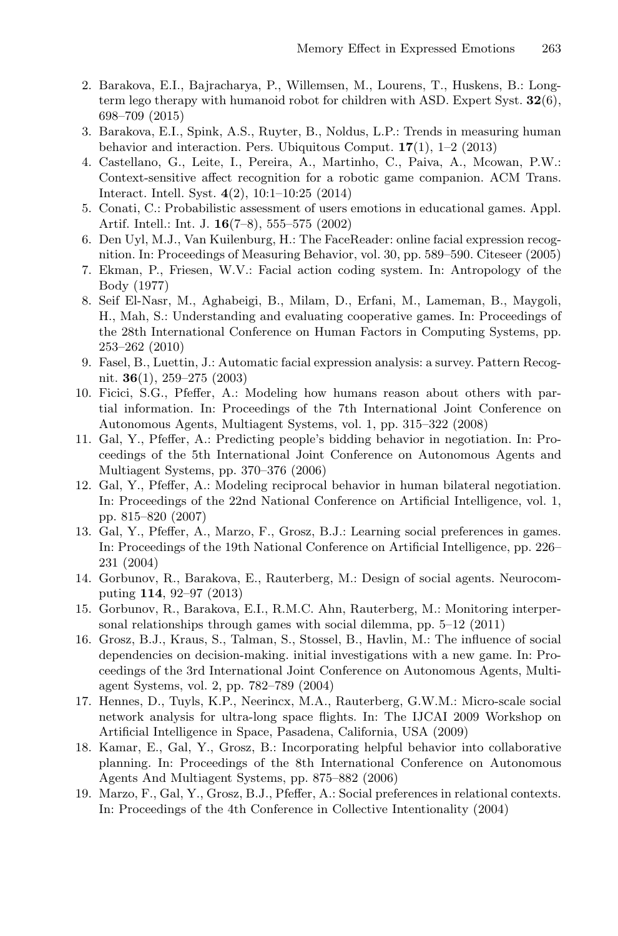- <span id="page-9-3"></span>2. Barakova, E.I., Bajracharya, P., Willemsen, M., Lourens, T., Huskens, B.: Longterm lego therapy with humanoid robot for children with ASD. Expert Syst. **32**(6), 698–709 (2015)
- <span id="page-9-0"></span>3. Barakova, E.I., Spink, A.S., Ruyter, B., Noldus, L.P.: Trends in measuring human behavior and interaction. Pers. Ubiquitous Comput. **17**(1), 1–2 (2013)
- <span id="page-9-4"></span>4. Castellano, G., Leite, I., Pereira, A., Martinho, C., Paiva, A., Mcowan, P.W.: Context-sensitive affect recognition for a robotic game companion. ACM Trans. Interact. Intell. Syst. **4**(2), 10:1–10:25 (2014)
- <span id="page-9-5"></span>5. Conati, C.: Probabilistic assessment of users emotions in educational games. Appl. Artif. Intell.: Int. J. **16**(7–8), 555–575 (2002)
- <span id="page-9-11"></span>6. Den Uyl, M.J., Van Kuilenburg, H.: The FaceReader: online facial expression recognition. In: Proceedings of Measuring Behavior, vol. 30, pp. 589–590. Citeseer (2005)
- <span id="page-9-12"></span>7. Ekman, P., Friesen, W.V.: Facial action coding system. In: Antropology of the Body (1977)
- <span id="page-9-6"></span>8. Seif El-Nasr, M., Aghabeigi, B., Milam, D., Erfani, M., Lameman, B., Maygoli, H., Mah, S.: Understanding and evaluating cooperative games. In: Proceedings of the 28th International Conference on Human Factors in Computing Systems, pp. 253–262 (2010)
- <span id="page-9-13"></span>9. Fasel, B., Luettin, J.: Automatic facial expression analysis: a survey. Pattern Recognit. **36**(1), 259–275 (2003)
- <span id="page-9-9"></span>10. Ficici, S.G., Pfeffer, A.: Modeling how humans reason about others with partial information. In: Proceedings of the 7th International Joint Conference on Autonomous Agents, Multiagent Systems, vol. 1, pp. 315–322 (2008)
- 11. Gal, Y., Pfeffer, A.: Predicting people's bidding behavior in negotiation. In: Proceedings of the 5th International Joint Conference on Autonomous Agents and Multiagent Systems, pp. 370–376 (2006)
- 12. Gal, Y., Pfeffer, A.: Modeling reciprocal behavior in human bilateral negotiation. In: Proceedings of the 22nd National Conference on Artificial Intelligence, vol. 1, pp. 815–820 (2007)
- <span id="page-9-1"></span>13. Gal, Y., Pfeffer, A., Marzo, F., Grosz, B.J.: Learning social preferences in games. In: Proceedings of the 19th National Conference on Artificial Intelligence, pp. 226– 231 (2004)
- <span id="page-9-7"></span>14. Gorbunov, R., Barakova, E., Rauterberg, M.: Design of social agents. Neurocomputing **114**, 92–97 (2013)
- <span id="page-9-2"></span>15. Gorbunov, R., Barakova, E.I., R.M.C. Ahn, Rauterberg, M.: Monitoring interpersonal relationships through games with social dilemma, pp. 5–12 (2011)
- <span id="page-9-8"></span>16. Grosz, B.J., Kraus, S., Talman, S., Stossel, B., Havlin, M.: The influence of social dependencies on decision-making. initial investigations with a new game. In: Proceedings of the 3rd International Joint Conference on Autonomous Agents, Multiagent Systems, vol. 2, pp. 782–789 (2004)
- 17. Hennes, D., Tuyls, K.P., Neerincx, M.A., Rauterberg, G.W.M.: Micro-scale social network analysis for ultra-long space flights. In: The IJCAI 2009 Workshop on Artificial Intelligence in Space, Pasadena, California, USA (2009)
- 18. Kamar, E., Gal, Y., Grosz, B.: Incorporating helpful behavior into collaborative planning. In: Proceedings of the 8th International Conference on Autonomous Agents And Multiagent Systems, pp. 875–882 (2006)
- <span id="page-9-10"></span>19. Marzo, F., Gal, Y., Grosz, B.J., Pfeffer, A.: Social preferences in relational contexts. In: Proceedings of the 4th Conference in Collective Intentionality (2004)